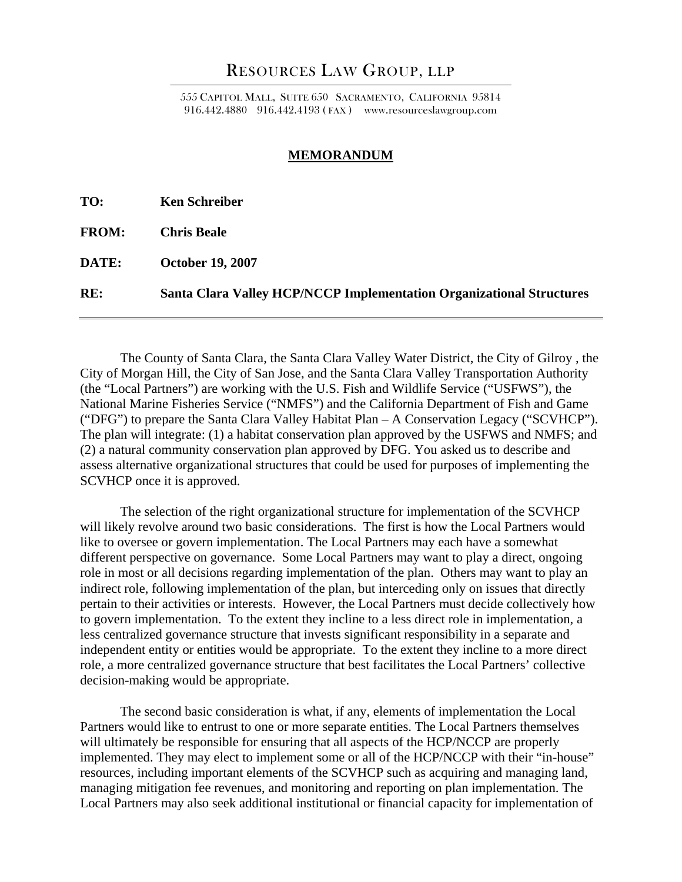# RESOURCES LAW GROUP, LLP

555 CAPITOL MALL, SUITE 650 SACRAMENTO, CALIFORNIA 95814 916.442.4880 916.442.4193 ( FAX ) www.resourceslawgroup.com

#### **MEMORANDUM**

**TO: Ken Schreiber** 

**FROM: Chris Beale** 

**DATE: October 19, 2007** 

**RE: Santa Clara Valley HCP/NCCP Implementation Organizational Structures** 

 The County of Santa Clara, the Santa Clara Valley Water District, the City of Gilroy , the City of Morgan Hill, the City of San Jose, and the Santa Clara Valley Transportation Authority (the "Local Partners") are working with the U.S. Fish and Wildlife Service ("USFWS"), the National Marine Fisheries Service ("NMFS") and the California Department of Fish and Game ("DFG") to prepare the Santa Clara Valley Habitat Plan – A Conservation Legacy ("SCVHCP"). The plan will integrate: (1) a habitat conservation plan approved by the USFWS and NMFS; and (2) a natural community conservation plan approved by DFG. You asked us to describe and assess alternative organizational structures that could be used for purposes of implementing the SCVHCP once it is approved.

The selection of the right organizational structure for implementation of the SCVHCP will likely revolve around two basic considerations. The first is how the Local Partners would like to oversee or govern implementation. The Local Partners may each have a somewhat different perspective on governance. Some Local Partners may want to play a direct, ongoing role in most or all decisions regarding implementation of the plan. Others may want to play an indirect role, following implementation of the plan, but interceding only on issues that directly pertain to their activities or interests. However, the Local Partners must decide collectively how to govern implementation. To the extent they incline to a less direct role in implementation, a less centralized governance structure that invests significant responsibility in a separate and independent entity or entities would be appropriate. To the extent they incline to a more direct role, a more centralized governance structure that best facilitates the Local Partners' collective decision-making would be appropriate.

The second basic consideration is what, if any, elements of implementation the Local Partners would like to entrust to one or more separate entities. The Local Partners themselves will ultimately be responsible for ensuring that all aspects of the HCP/NCCP are properly implemented. They may elect to implement some or all of the HCP/NCCP with their "in-house" resources, including important elements of the SCVHCP such as acquiring and managing land, managing mitigation fee revenues, and monitoring and reporting on plan implementation. The Local Partners may also seek additional institutional or financial capacity for implementation of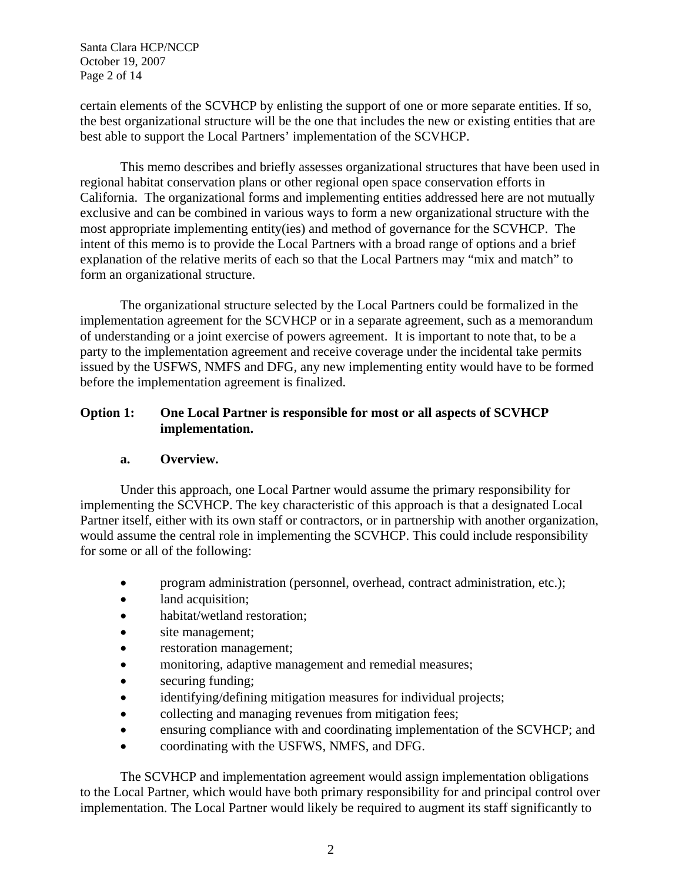Santa Clara HCP/NCCP October 19, 2007 Page 2 of 14

certain elements of the SCVHCP by enlisting the support of one or more separate entities. If so, the best organizational structure will be the one that includes the new or existing entities that are best able to support the Local Partners' implementation of the SCVHCP.

This memo describes and briefly assesses organizational structures that have been used in regional habitat conservation plans or other regional open space conservation efforts in California. The organizational forms and implementing entities addressed here are not mutually exclusive and can be combined in various ways to form a new organizational structure with the most appropriate implementing entity(ies) and method of governance for the SCVHCP. The intent of this memo is to provide the Local Partners with a broad range of options and a brief explanation of the relative merits of each so that the Local Partners may "mix and match" to form an organizational structure.

The organizational structure selected by the Local Partners could be formalized in the implementation agreement for the SCVHCP or in a separate agreement, such as a memorandum of understanding or a joint exercise of powers agreement. It is important to note that, to be a party to the implementation agreement and receive coverage under the incidental take permits issued by the USFWS, NMFS and DFG, any new implementing entity would have to be formed before the implementation agreement is finalized.

# **Option 1: One Local Partner is responsible for most or all aspects of SCVHCP implementation.**

## **a. Overview.**

Under this approach, one Local Partner would assume the primary responsibility for implementing the SCVHCP. The key characteristic of this approach is that a designated Local Partner itself, either with its own staff or contractors, or in partnership with another organization, would assume the central role in implementing the SCVHCP. This could include responsibility for some or all of the following:

- program administration (personnel, overhead, contract administration, etc.);
- land acquisition;
- habitat/wetland restoration;
- site management;
- restoration management;
- monitoring, adaptive management and remedial measures;
- securing funding;
- identifying/defining mitigation measures for individual projects;
- collecting and managing revenues from mitigation fees;
- ensuring compliance with and coordinating implementation of the SCVHCP; and
- coordinating with the USFWS, NMFS, and DFG.

The SCVHCP and implementation agreement would assign implementation obligations to the Local Partner, which would have both primary responsibility for and principal control over implementation. The Local Partner would likely be required to augment its staff significantly to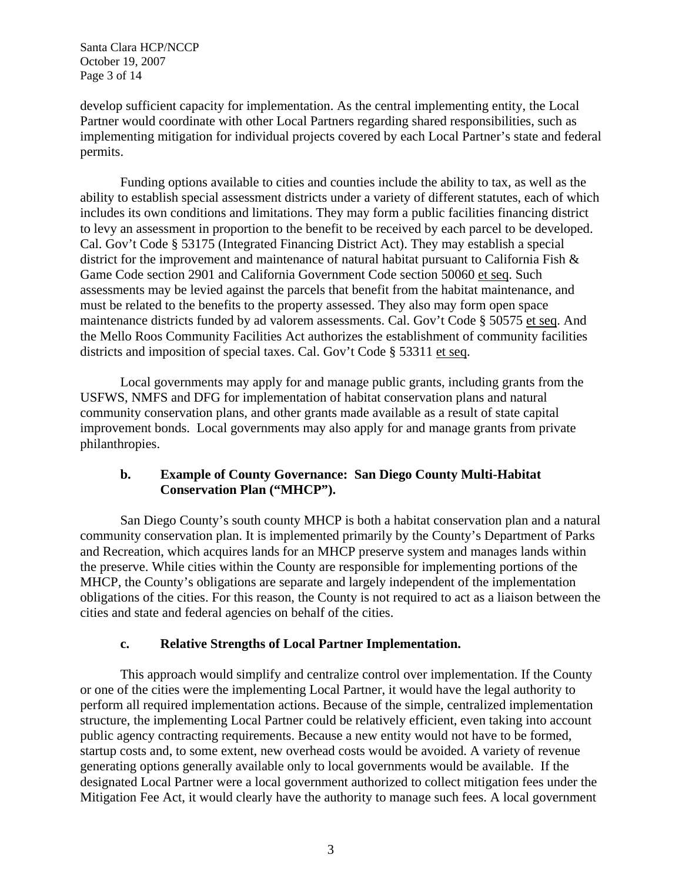Santa Clara HCP/NCCP October 19, 2007 Page 3 of 14

develop sufficient capacity for implementation. As the central implementing entity, the Local Partner would coordinate with other Local Partners regarding shared responsibilities, such as implementing mitigation for individual projects covered by each Local Partner's state and federal permits.

Funding options available to cities and counties include the ability to tax, as well as the ability to establish special assessment districts under a variety of different statutes, each of which includes its own conditions and limitations. They may form a public facilities financing district to levy an assessment in proportion to the benefit to be received by each parcel to be developed. Cal. Gov't Code § 53175 (Integrated Financing District Act). They may establish a special district for the improvement and maintenance of natural habitat pursuant to California Fish & Game Code section 2901 and California Government Code section 50060 et seq. Such assessments may be levied against the parcels that benefit from the habitat maintenance, and must be related to the benefits to the property assessed. They also may form open space maintenance districts funded by ad valorem assessments. Cal. Gov't Code § 50575 et seq. And the Mello Roos Community Facilities Act authorizes the establishment of community facilities districts and imposition of special taxes. Cal. Gov't Code § 53311 et seq.

Local governments may apply for and manage public grants, including grants from the USFWS, NMFS and DFG for implementation of habitat conservation plans and natural community conservation plans, and other grants made available as a result of state capital improvement bonds. Local governments may also apply for and manage grants from private philanthropies.

# **b. Example of County Governance: San Diego County Multi-Habitat Conservation Plan ("MHCP").**

San Diego County's south county MHCP is both a habitat conservation plan and a natural community conservation plan. It is implemented primarily by the County's Department of Parks and Recreation, which acquires lands for an MHCP preserve system and manages lands within the preserve. While cities within the County are responsible for implementing portions of the MHCP, the County's obligations are separate and largely independent of the implementation obligations of the cities. For this reason, the County is not required to act as a liaison between the cities and state and federal agencies on behalf of the cities.

# **c. Relative Strengths of Local Partner Implementation.**

This approach would simplify and centralize control over implementation. If the County or one of the cities were the implementing Local Partner, it would have the legal authority to perform all required implementation actions. Because of the simple, centralized implementation structure, the implementing Local Partner could be relatively efficient, even taking into account public agency contracting requirements. Because a new entity would not have to be formed, startup costs and, to some extent, new overhead costs would be avoided. A variety of revenue generating options generally available only to local governments would be available. If the designated Local Partner were a local government authorized to collect mitigation fees under the Mitigation Fee Act, it would clearly have the authority to manage such fees. A local government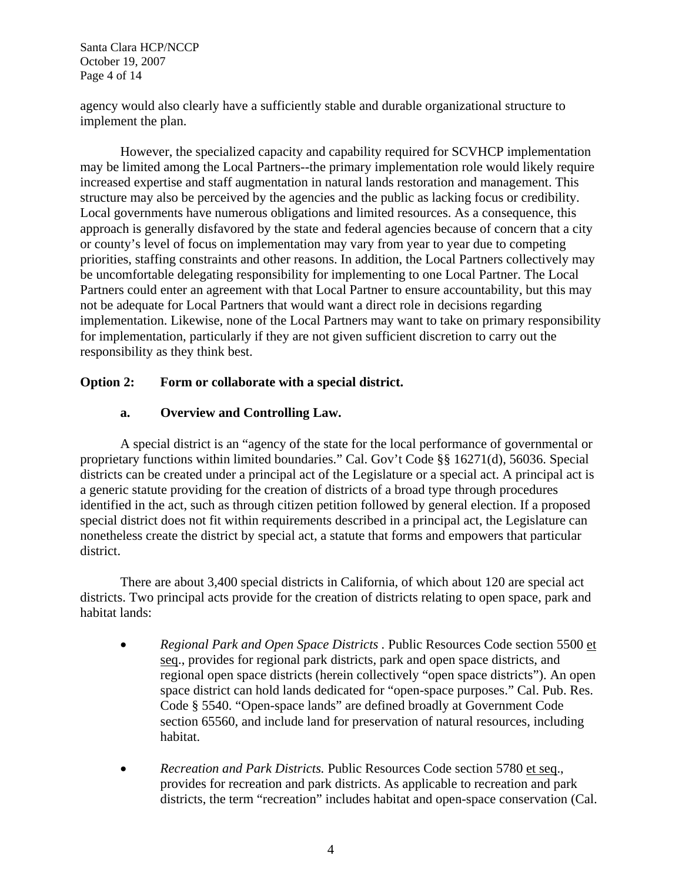Santa Clara HCP/NCCP October 19, 2007 Page 4 of 14

agency would also clearly have a sufficiently stable and durable organizational structure to implement the plan.

However, the specialized capacity and capability required for SCVHCP implementation may be limited among the Local Partners--the primary implementation role would likely require increased expertise and staff augmentation in natural lands restoration and management. This structure may also be perceived by the agencies and the public as lacking focus or credibility. Local governments have numerous obligations and limited resources. As a consequence, this approach is generally disfavored by the state and federal agencies because of concern that a city or county's level of focus on implementation may vary from year to year due to competing priorities, staffing constraints and other reasons. In addition, the Local Partners collectively may be uncomfortable delegating responsibility for implementing to one Local Partner. The Local Partners could enter an agreement with that Local Partner to ensure accountability, but this may not be adequate for Local Partners that would want a direct role in decisions regarding implementation. Likewise, none of the Local Partners may want to take on primary responsibility for implementation, particularly if they are not given sufficient discretion to carry out the responsibility as they think best.

# **Option 2: Form or collaborate with a special district.**

# **a. Overview and Controlling Law.**

A special district is an "agency of the state for the local performance of governmental or proprietary functions within limited boundaries." Cal. Gov't Code §§ 16271(d), 56036. Special districts can be created under a principal act of the Legislature or a special act. A principal act is a generic statute providing for the creation of districts of a broad type through procedures identified in the act, such as through citizen petition followed by general election. If a proposed special district does not fit within requirements described in a principal act, the Legislature can nonetheless create the district by special act, a statute that forms and empowers that particular district.

There are about 3,400 special districts in California, of which about 120 are special act districts. Two principal acts provide for the creation of districts relating to open space, park and habitat lands:

- *Regional Park and Open Space Districts .* Public Resources Code section 5500 et seq., provides for regional park districts, park and open space districts, and regional open space districts (herein collectively "open space districts"). An open space district can hold lands dedicated for "open-space purposes." Cal. Pub. Res. Code § 5540. "Open-space lands" are defined broadly at Government Code section 65560, and include land for preservation of natural resources, including habitat.
- *Recreation and Park Districts.* Public Resources Code section 5780 et seq., provides for recreation and park districts. As applicable to recreation and park districts, the term "recreation" includes habitat and open-space conservation (Cal.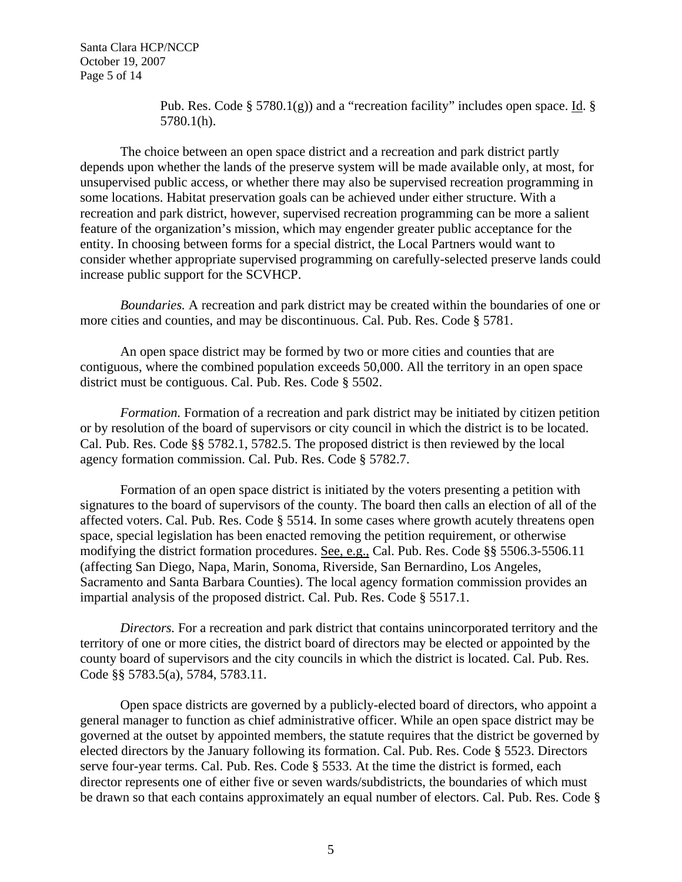Santa Clara HCP/NCCP October 19, 2007 Page 5 of 14

> Pub. Res. Code  $\S 5780.1(g)$  and a "recreation facility" includes open space. Id.  $\S$ 5780.1(h).

The choice between an open space district and a recreation and park district partly depends upon whether the lands of the preserve system will be made available only, at most, for unsupervised public access, or whether there may also be supervised recreation programming in some locations. Habitat preservation goals can be achieved under either structure. With a recreation and park district, however, supervised recreation programming can be more a salient feature of the organization's mission, which may engender greater public acceptance for the entity. In choosing between forms for a special district, the Local Partners would want to consider whether appropriate supervised programming on carefully-selected preserve lands could increase public support for the SCVHCP.

*Boundaries.* A recreation and park district may be created within the boundaries of one or more cities and counties, and may be discontinuous. Cal. Pub. Res. Code § 5781.

An open space district may be formed by two or more cities and counties that are contiguous, where the combined population exceeds 50,000. All the territory in an open space district must be contiguous. Cal. Pub. Res. Code § 5502.

*Formation.* Formation of a recreation and park district may be initiated by citizen petition or by resolution of the board of supervisors or city council in which the district is to be located. Cal. Pub. Res. Code §§ 5782.1, 5782.5. The proposed district is then reviewed by the local agency formation commission. Cal. Pub. Res. Code § 5782.7.

Formation of an open space district is initiated by the voters presenting a petition with signatures to the board of supervisors of the county. The board then calls an election of all of the affected voters. Cal. Pub. Res. Code § 5514. In some cases where growth acutely threatens open space, special legislation has been enacted removing the petition requirement, or otherwise modifying the district formation procedures. See, e.g., Cal. Pub. Res. Code §§ 5506.3-5506.11 (affecting San Diego, Napa, Marin, Sonoma, Riverside, San Bernardino, Los Angeles, Sacramento and Santa Barbara Counties). The local agency formation commission provides an impartial analysis of the proposed district. Cal. Pub. Res. Code § 5517.1.

*Directors.* For a recreation and park district that contains unincorporated territory and the territory of one or more cities, the district board of directors may be elected or appointed by the county board of supervisors and the city councils in which the district is located. Cal. Pub. Res. Code §§ 5783.5(a), 5784, 5783.11.

Open space districts are governed by a publicly-elected board of directors, who appoint a general manager to function as chief administrative officer. While an open space district may be governed at the outset by appointed members, the statute requires that the district be governed by elected directors by the January following its formation. Cal. Pub. Res. Code § 5523. Directors serve four-year terms. Cal. Pub. Res. Code § 5533. At the time the district is formed, each director represents one of either five or seven wards/subdistricts, the boundaries of which must be drawn so that each contains approximately an equal number of electors. Cal. Pub. Res. Code §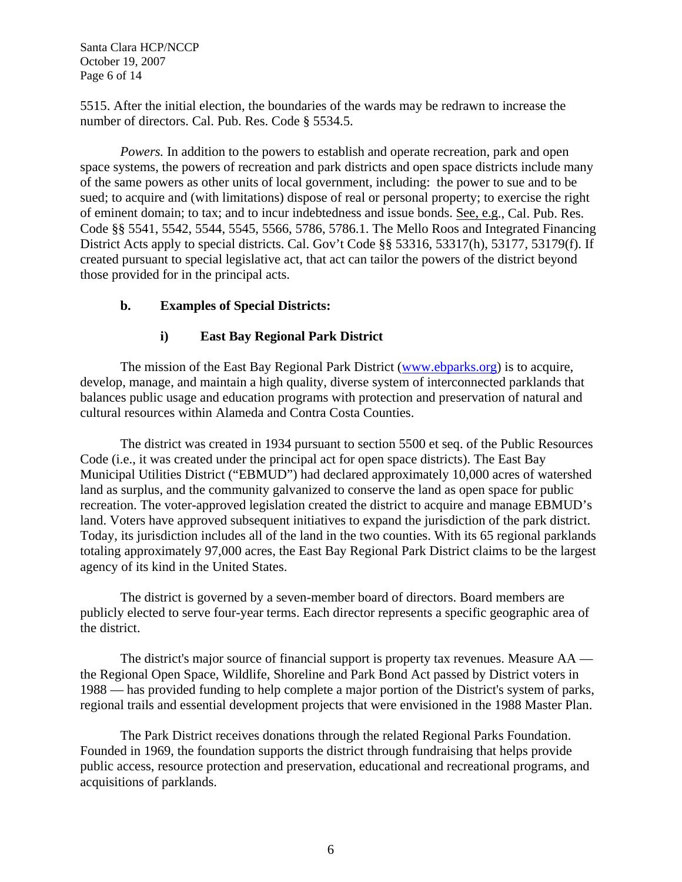Santa Clara HCP/NCCP October 19, 2007 Page 6 of 14

5515. After the initial election, the boundaries of the wards may be redrawn to increase the number of directors. Cal. Pub. Res. Code § 5534.5.

*Powers.* In addition to the powers to establish and operate recreation, park and open space systems, the powers of recreation and park districts and open space districts include many of the same powers as other units of local government, including: the power to sue and to be sued; to acquire and (with limitations) dispose of real or personal property; to exercise the right of eminent domain; to tax; and to incur indebtedness and issue bonds. See, e.g., Cal. Pub. Res. Code §§ 5541, 5542, 5544, 5545, 5566, 5786, 5786.1. The Mello Roos and Integrated Financing District Acts apply to special districts. Cal. Gov't Code §§ 53316, 53317(h), 53177, 53179(f). If created pursuant to special legislative act, that act can tailor the powers of the district beyond those provided for in the principal acts.

## **b. Examples of Special Districts:**

#### **i) East Bay Regional Park District**

The mission of the East Bay Regional Park District (www.ebparks.org) is to acquire, develop, manage, and maintain a high quality, diverse system of interconnected parklands that balances public usage and education programs with protection and preservation of natural and cultural resources within Alameda and Contra Costa Counties.

The district was created in 1934 pursuant to section 5500 et seq. of the Public Resources Code (i.e., it was created under the principal act for open space districts). The East Bay Municipal Utilities District ("EBMUD") had declared approximately 10,000 acres of watershed land as surplus, and the community galvanized to conserve the land as open space for public recreation. The voter-approved legislation created the district to acquire and manage EBMUD's land. Voters have approved subsequent initiatives to expand the jurisdiction of the park district. Today, its jurisdiction includes all of the land in the two counties. With its 65 regional parklands totaling approximately 97,000 acres, the East Bay Regional Park District claims to be the largest agency of its kind in the United States.

The district is governed by a seven-member board of directors. Board members are publicly elected to serve four-year terms. Each director represents a specific geographic area of the district.

The district's major source of financial support is property tax revenues. Measure AA the Regional Open Space, Wildlife, Shoreline and Park Bond Act passed by District voters in 1988 — has provided funding to help complete a major portion of the District's system of parks, regional trails and essential development projects that were envisioned in the 1988 Master Plan.

The Park District receives donations through the related Regional Parks Foundation. Founded in 1969, the foundation supports the district through fundraising that helps provide public access, resource protection and preservation, educational and recreational programs, and acquisitions of parklands.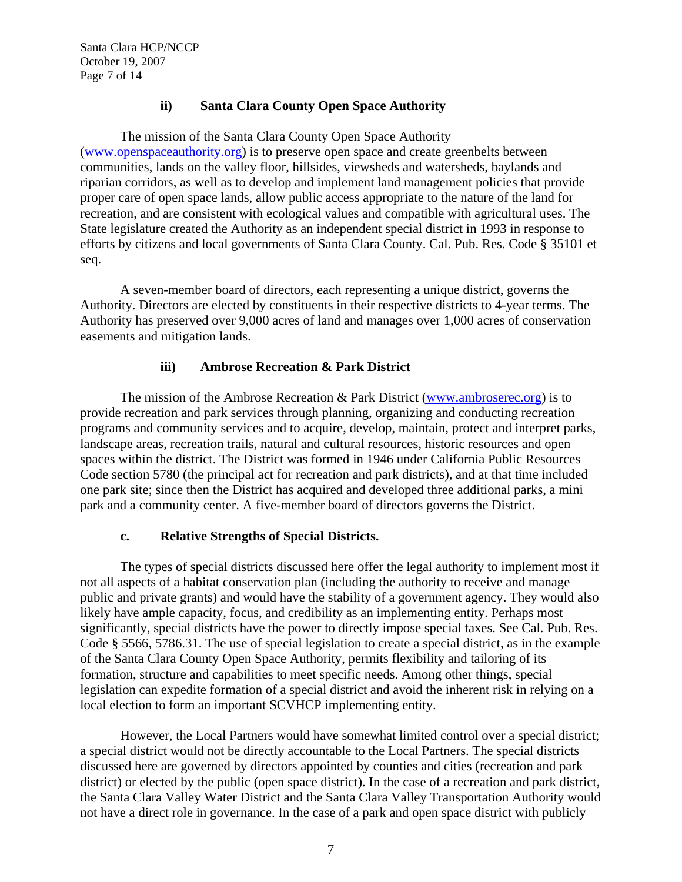# **ii) Santa Clara County Open Space Authority**

The mission of the Santa Clara County Open Space Authority (www.openspaceauthority.org) is to preserve open space and create greenbelts between communities, lands on the valley floor, hillsides, viewsheds and watersheds, baylands and riparian corridors, as well as to develop and implement land management policies that provide proper care of open space lands, allow public access appropriate to the nature of the land for recreation, and are consistent with ecological values and compatible with agricultural uses. The State legislature created the Authority as an independent special district in 1993 in response to efforts by citizens and local governments of Santa Clara County. Cal. Pub. Res. Code § 35101 et seq.

A seven-member board of directors, each representing a unique district, governs the Authority. Directors are elected by constituents in their respective districts to 4-year terms. The Authority has preserved over 9,000 acres of land and manages over 1,000 acres of conservation easements and mitigation lands.

# **iii) Ambrose Recreation & Park District**

The mission of the Ambrose Recreation & Park District (www.ambroserec.org) is to provide recreation and park services through planning, organizing and conducting recreation programs and community services and to acquire, develop, maintain, protect and interpret parks, landscape areas, recreation trails, natural and cultural resources, historic resources and open spaces within the district. The District was formed in 1946 under California Public Resources Code section 5780 (the principal act for recreation and park districts), and at that time included one park site; since then the District has acquired and developed three additional parks, a mini park and a community center. A five-member board of directors governs the District.

## **c. Relative Strengths of Special Districts.**

The types of special districts discussed here offer the legal authority to implement most if not all aspects of a habitat conservation plan (including the authority to receive and manage public and private grants) and would have the stability of a government agency. They would also likely have ample capacity, focus, and credibility as an implementing entity. Perhaps most significantly, special districts have the power to directly impose special taxes. See Cal. Pub. Res. Code § 5566, 5786.31. The use of special legislation to create a special district, as in the example of the Santa Clara County Open Space Authority, permits flexibility and tailoring of its formation, structure and capabilities to meet specific needs. Among other things, special legislation can expedite formation of a special district and avoid the inherent risk in relying on a local election to form an important SCVHCP implementing entity.

However, the Local Partners would have somewhat limited control over a special district; a special district would not be directly accountable to the Local Partners. The special districts discussed here are governed by directors appointed by counties and cities (recreation and park district) or elected by the public (open space district). In the case of a recreation and park district, the Santa Clara Valley Water District and the Santa Clara Valley Transportation Authority would not have a direct role in governance. In the case of a park and open space district with publicly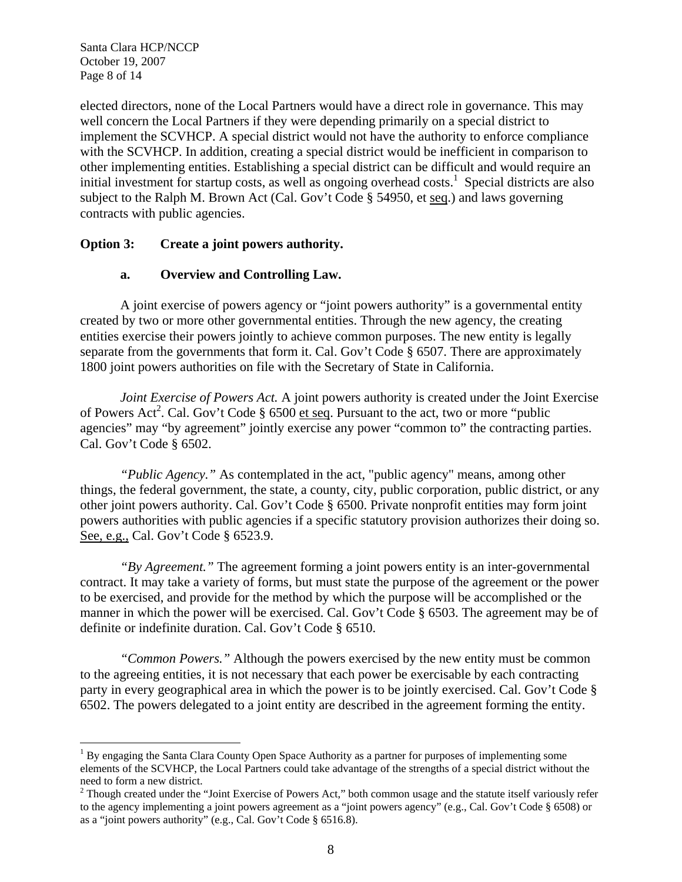Santa Clara HCP/NCCP October 19, 2007 Page 8 of 14

1

elected directors, none of the Local Partners would have a direct role in governance. This may well concern the Local Partners if they were depending primarily on a special district to implement the SCVHCP. A special district would not have the authority to enforce compliance with the SCVHCP. In addition, creating a special district would be inefficient in comparison to other implementing entities. Establishing a special district can be difficult and would require an initial investment for startup costs, as well as ongoing overhead costs.<sup>1</sup> Special districts are also subject to the Ralph M. Brown Act (Cal. Gov't Code § 54950, et seq.) and laws governing contracts with public agencies.

## **Option 3: Create a joint powers authority.**

#### **a. Overview and Controlling Law.**

A joint exercise of powers agency or "joint powers authority" is a governmental entity created by two or more other governmental entities. Through the new agency, the creating entities exercise their powers jointly to achieve common purposes. The new entity is legally separate from the governments that form it. Cal. Gov't Code § 6507. There are approximately 1800 joint powers authorities on file with the Secretary of State in California.

*Joint Exercise of Powers Act.* A joint powers authority is created under the Joint Exercise of Powers Act<sup>2</sup>. Cal. Gov't Code § 6500 et seq. Pursuant to the act, two or more "public agencies" may "by agreement" jointly exercise any power "common to" the contracting parties. Cal. Gov't Code § 6502.

*"Public Agency."* As contemplated in the act, "public agency" means, among other things, the federal government, the state, a county, city, public corporation, public district, or any other joint powers authority. Cal. Gov't Code § 6500. Private nonprofit entities may form joint powers authorities with public agencies if a specific statutory provision authorizes their doing so. See, e.g., Cal. Gov't Code § 6523.9.

*"By Agreement."* The agreement forming a joint powers entity is an inter-governmental contract. It may take a variety of forms, but must state the purpose of the agreement or the power to be exercised, and provide for the method by which the purpose will be accomplished or the manner in which the power will be exercised. Cal. Gov't Code § 6503. The agreement may be of definite or indefinite duration. Cal. Gov't Code § 6510.

*"Common Powers."* Although the powers exercised by the new entity must be common to the agreeing entities, it is not necessary that each power be exercisable by each contracting party in every geographical area in which the power is to be jointly exercised. Cal. Gov't Code § 6502. The powers delegated to a joint entity are described in the agreement forming the entity.

<sup>&</sup>lt;sup>1</sup> By engaging the Santa Clara County Open Space Authority as a partner for purposes of implementing some elements of the SCVHCP, the Local Partners could take advantage of the strengths of a special district without the need to form a new district.

 $2$  Though created under the "Joint Exercise of Powers Act," both common usage and the statute itself variously refer to the agency implementing a joint powers agreement as a "joint powers agency" (e.g., Cal. Gov't Code § 6508) or as a "joint powers authority" (e.g., Cal. Gov't Code § 6516.8).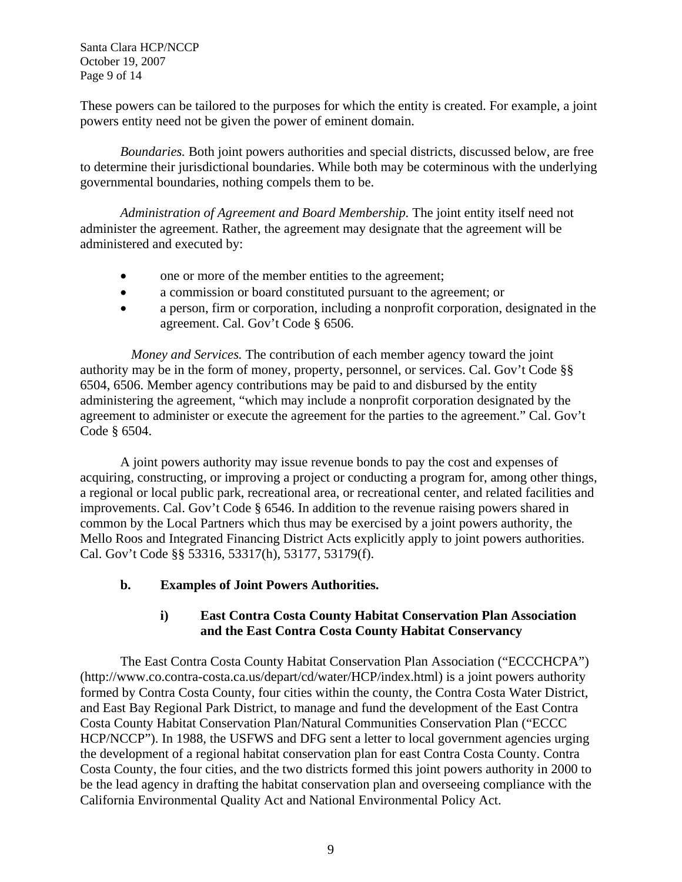Santa Clara HCP/NCCP October 19, 2007 Page 9 of 14

These powers can be tailored to the purposes for which the entity is created. For example, a joint powers entity need not be given the power of eminent domain.

*Boundaries.* Both joint powers authorities and special districts, discussed below, are free to determine their jurisdictional boundaries. While both may be coterminous with the underlying governmental boundaries, nothing compels them to be.

*Administration of Agreement and Board Membership.* The joint entity itself need not administer the agreement. Rather, the agreement may designate that the agreement will be administered and executed by:

- one or more of the member entities to the agreement;
- a commission or board constituted pursuant to the agreement; or
- a person, firm or corporation, including a nonprofit corporation, designated in the agreement. Cal. Gov't Code § 6506.

 *Money and Services.* The contribution of each member agency toward the joint authority may be in the form of money, property, personnel, or services. Cal. Gov't Code §§ 6504, 6506. Member agency contributions may be paid to and disbursed by the entity administering the agreement, "which may include a nonprofit corporation designated by the agreement to administer or execute the agreement for the parties to the agreement." Cal. Gov't Code § 6504.

A joint powers authority may issue revenue bonds to pay the cost and expenses of acquiring, constructing, or improving a project or conducting a program for, among other things, a regional or local public park, recreational area, or recreational center, and related facilities and improvements. Cal. Gov't Code § 6546. In addition to the revenue raising powers shared in common by the Local Partners which thus may be exercised by a joint powers authority, the Mello Roos and Integrated Financing District Acts explicitly apply to joint powers authorities. Cal. Gov't Code §§ 53316, 53317(h), 53177, 53179(f).

# **b. Examples of Joint Powers Authorities.**

# **i) East Contra Costa County Habitat Conservation Plan Association and the East Contra Costa County Habitat Conservancy**

The East Contra Costa County Habitat Conservation Plan Association ("ECCCHCPA") (http://www.co.contra-costa.ca.us/depart/cd/water/HCP/index.html) is a joint powers authority formed by Contra Costa County, four cities within the county, the Contra Costa Water District, and East Bay Regional Park District, to manage and fund the development of the East Contra Costa County Habitat Conservation Plan/Natural Communities Conservation Plan ("ECCC HCP/NCCP"). In 1988, the USFWS and DFG sent a letter to local government agencies urging the development of a regional habitat conservation plan for east Contra Costa County. Contra Costa County, the four cities, and the two districts formed this joint powers authority in 2000 to be the lead agency in drafting the habitat conservation plan and overseeing compliance with the California Environmental Quality Act and National Environmental Policy Act.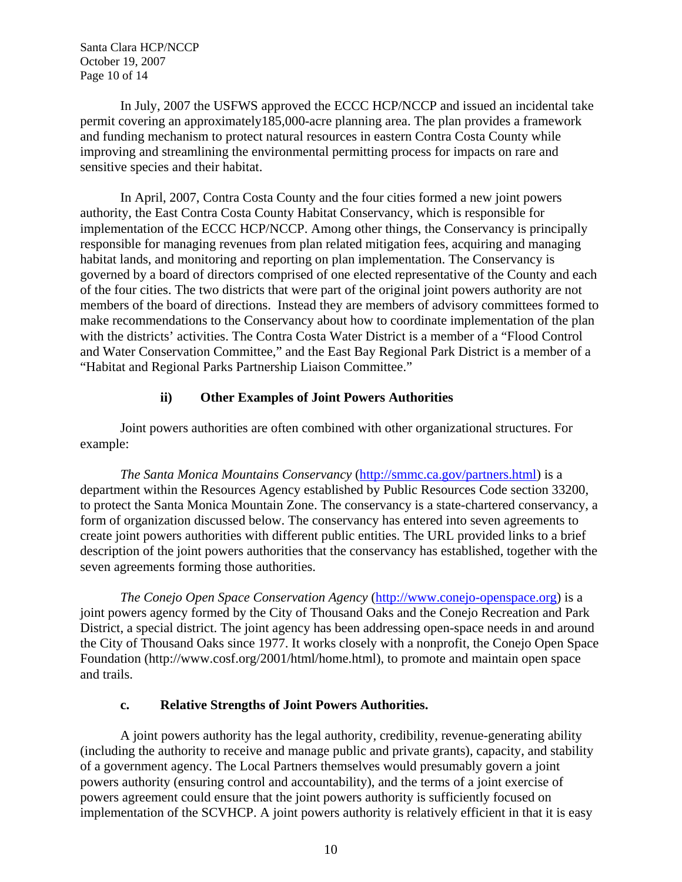Santa Clara HCP/NCCP October 19, 2007 Page 10 of 14

In July, 2007 the USFWS approved the ECCC HCP/NCCP and issued an incidental take permit covering an approximately185,000-acre planning area. The plan provides a framework and funding mechanism to protect natural resources in eastern Contra Costa County while improving and streamlining the environmental permitting process for impacts on rare and sensitive species and their habitat.

In April, 2007, Contra Costa County and the four cities formed a new joint powers authority, the East Contra Costa County Habitat Conservancy, which is responsible for implementation of the ECCC HCP/NCCP. Among other things, the Conservancy is principally responsible for managing revenues from plan related mitigation fees, acquiring and managing habitat lands, and monitoring and reporting on plan implementation. The Conservancy is governed by a board of directors comprised of one elected representative of the County and each of the four cities. The two districts that were part of the original joint powers authority are not members of the board of directions. Instead they are members of advisory committees formed to make recommendations to the Conservancy about how to coordinate implementation of the plan with the districts' activities. The Contra Costa Water District is a member of a "Flood Control and Water Conservation Committee," and the East Bay Regional Park District is a member of a "Habitat and Regional Parks Partnership Liaison Committee."

#### **ii) Other Examples of Joint Powers Authorities**

Joint powers authorities are often combined with other organizational structures. For example:

*The Santa Monica Mountains Conservancy* (http://smmc.ca.gov/partners.html) is a department within the Resources Agency established by Public Resources Code section 33200, to protect the Santa Monica Mountain Zone. The conservancy is a state-chartered conservancy, a form of organization discussed below. The conservancy has entered into seven agreements to create joint powers authorities with different public entities. The URL provided links to a brief description of the joint powers authorities that the conservancy has established, together with the seven agreements forming those authorities.

*The Conejo Open Space Conservation Agency* (http://www.conejo-openspace.org) is a joint powers agency formed by the City of Thousand Oaks and the Conejo Recreation and Park District, a special district. The joint agency has been addressing open-space needs in and around the City of Thousand Oaks since 1977. It works closely with a nonprofit, the Conejo Open Space Foundation (http://www.cosf.org/2001/html/home.html), to promote and maintain open space and trails.

#### **c. Relative Strengths of Joint Powers Authorities.**

A joint powers authority has the legal authority, credibility, revenue-generating ability (including the authority to receive and manage public and private grants), capacity, and stability of a government agency. The Local Partners themselves would presumably govern a joint powers authority (ensuring control and accountability), and the terms of a joint exercise of powers agreement could ensure that the joint powers authority is sufficiently focused on implementation of the SCVHCP. A joint powers authority is relatively efficient in that it is easy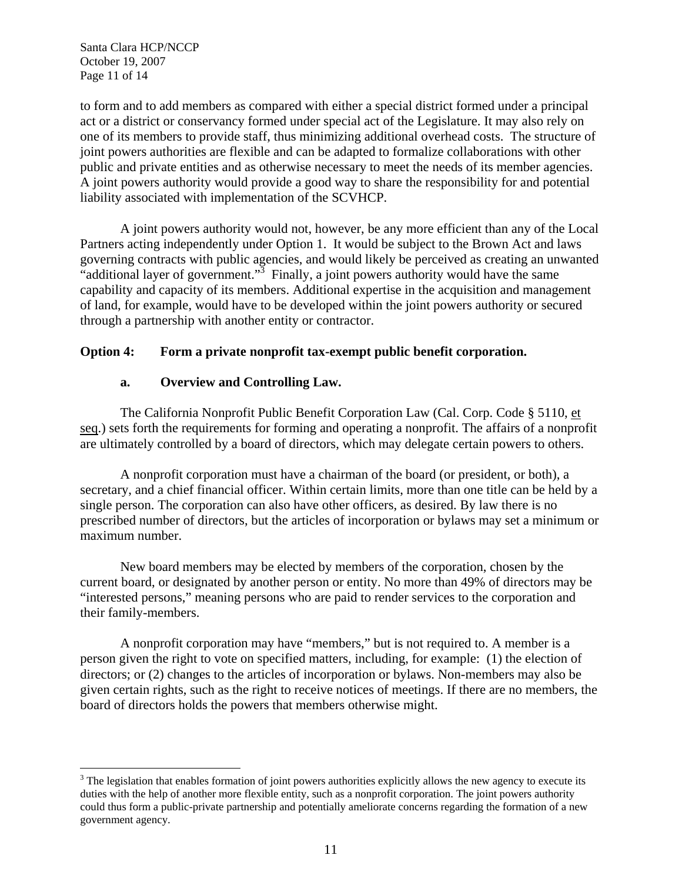Santa Clara HCP/NCCP October 19, 2007 Page 11 of 14

 $\overline{a}$ 

to form and to add members as compared with either a special district formed under a principal act or a district or conservancy formed under special act of the Legislature. It may also rely on one of its members to provide staff, thus minimizing additional overhead costs. The structure of joint powers authorities are flexible and can be adapted to formalize collaborations with other public and private entities and as otherwise necessary to meet the needs of its member agencies. A joint powers authority would provide a good way to share the responsibility for and potential liability associated with implementation of the SCVHCP.

A joint powers authority would not, however, be any more efficient than any of the Local Partners acting independently under Option 1. It would be subject to the Brown Act and laws governing contracts with public agencies, and would likely be perceived as creating an unwanted "additional layer of government."<sup>3</sup> Finally, a joint powers authority would have the same capability and capacity of its members. Additional expertise in the acquisition and management of land, for example, would have to be developed within the joint powers authority or secured through a partnership with another entity or contractor.

## **Option 4: Form a private nonprofit tax-exempt public benefit corporation.**

## **a. Overview and Controlling Law.**

The California Nonprofit Public Benefit Corporation Law (Cal. Corp. Code § 5110, et seq.) sets forth the requirements for forming and operating a nonprofit. The affairs of a nonprofit are ultimately controlled by a board of directors, which may delegate certain powers to others.

A nonprofit corporation must have a chairman of the board (or president, or both), a secretary, and a chief financial officer. Within certain limits, more than one title can be held by a single person. The corporation can also have other officers, as desired. By law there is no prescribed number of directors, but the articles of incorporation or bylaws may set a minimum or maximum number.

New board members may be elected by members of the corporation, chosen by the current board, or designated by another person or entity. No more than 49% of directors may be "interested persons," meaning persons who are paid to render services to the corporation and their family-members.

A nonprofit corporation may have "members," but is not required to. A member is a person given the right to vote on specified matters, including, for example: (1) the election of directors; or (2) changes to the articles of incorporation or bylaws. Non-members may also be given certain rights, such as the right to receive notices of meetings. If there are no members, the board of directors holds the powers that members otherwise might.

 $3$  The legislation that enables formation of joint powers authorities explicitly allows the new agency to execute its duties with the help of another more flexible entity, such as a nonprofit corporation. The joint powers authority could thus form a public-private partnership and potentially ameliorate concerns regarding the formation of a new government agency.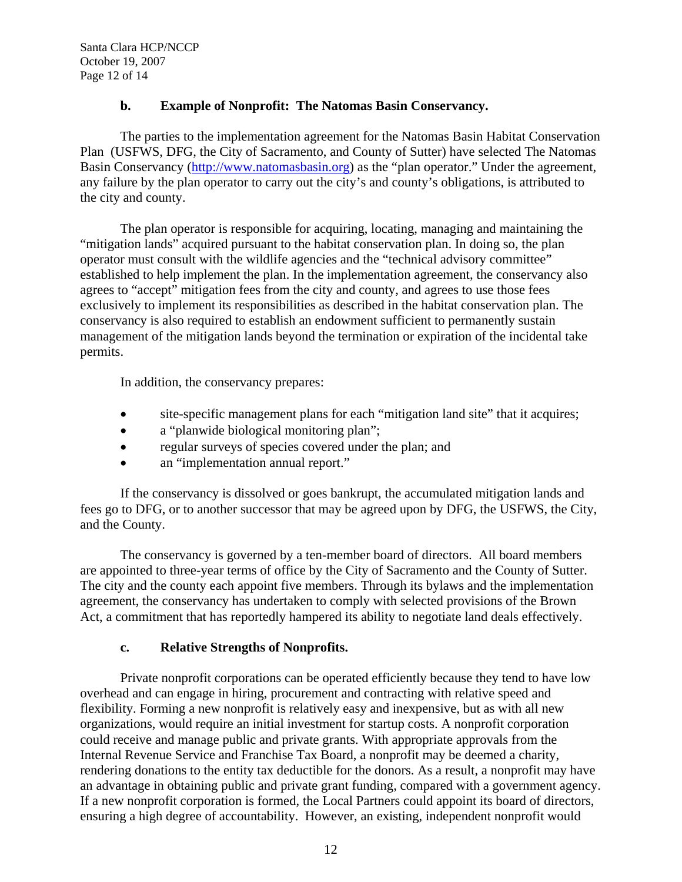# **b. Example of Nonprofit: The Natomas Basin Conservancy.**

The parties to the implementation agreement for the Natomas Basin Habitat Conservation Plan (USFWS, DFG, the City of Sacramento, and County of Sutter) have selected The Natomas Basin Conservancy (http://www.natomasbasin.org) as the "plan operator." Under the agreement, any failure by the plan operator to carry out the city's and county's obligations, is attributed to the city and county.

The plan operator is responsible for acquiring, locating, managing and maintaining the "mitigation lands" acquired pursuant to the habitat conservation plan. In doing so, the plan operator must consult with the wildlife agencies and the "technical advisory committee" established to help implement the plan. In the implementation agreement, the conservancy also agrees to "accept" mitigation fees from the city and county, and agrees to use those fees exclusively to implement its responsibilities as described in the habitat conservation plan. The conservancy is also required to establish an endowment sufficient to permanently sustain management of the mitigation lands beyond the termination or expiration of the incidental take permits.

In addition, the conservancy prepares:

- site-specific management plans for each "mitigation land site" that it acquires;
- a "planwide biological monitoring plan";
- regular surveys of species covered under the plan; and
- an "implementation annual report."

If the conservancy is dissolved or goes bankrupt, the accumulated mitigation lands and fees go to DFG, or to another successor that may be agreed upon by DFG, the USFWS, the City, and the County.

The conservancy is governed by a ten-member board of directors. All board members are appointed to three-year terms of office by the City of Sacramento and the County of Sutter. The city and the county each appoint five members. Through its bylaws and the implementation agreement, the conservancy has undertaken to comply with selected provisions of the Brown Act, a commitment that has reportedly hampered its ability to negotiate land deals effectively.

# **c. Relative Strengths of Nonprofits.**

 Private nonprofit corporations can be operated efficiently because they tend to have low overhead and can engage in hiring, procurement and contracting with relative speed and flexibility. Forming a new nonprofit is relatively easy and inexpensive, but as with all new organizations, would require an initial investment for startup costs. A nonprofit corporation could receive and manage public and private grants. With appropriate approvals from the Internal Revenue Service and Franchise Tax Board, a nonprofit may be deemed a charity, rendering donations to the entity tax deductible for the donors. As a result, a nonprofit may have an advantage in obtaining public and private grant funding, compared with a government agency. If a new nonprofit corporation is formed, the Local Partners could appoint its board of directors, ensuring a high degree of accountability. However, an existing, independent nonprofit would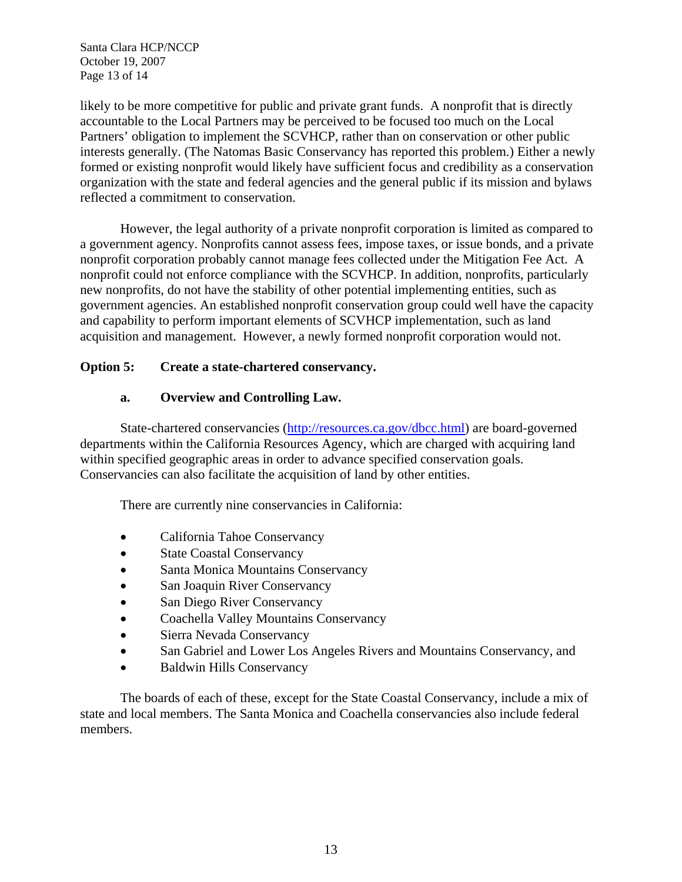Santa Clara HCP/NCCP October 19, 2007 Page 13 of 14

likely to be more competitive for public and private grant funds. A nonprofit that is directly accountable to the Local Partners may be perceived to be focused too much on the Local Partners' obligation to implement the SCVHCP, rather than on conservation or other public interests generally. (The Natomas Basic Conservancy has reported this problem.) Either a newly formed or existing nonprofit would likely have sufficient focus and credibility as a conservation organization with the state and federal agencies and the general public if its mission and bylaws reflected a commitment to conservation.

However, the legal authority of a private nonprofit corporation is limited as compared to a government agency. Nonprofits cannot assess fees, impose taxes, or issue bonds, and a private nonprofit corporation probably cannot manage fees collected under the Mitigation Fee Act. A nonprofit could not enforce compliance with the SCVHCP. In addition, nonprofits, particularly new nonprofits, do not have the stability of other potential implementing entities, such as government agencies. An established nonprofit conservation group could well have the capacity and capability to perform important elements of SCVHCP implementation, such as land acquisition and management. However, a newly formed nonprofit corporation would not.

# **Option 5: Create a state-chartered conservancy.**

# **a. Overview and Controlling Law.**

 State-chartered conservancies (http://resources.ca.gov/dbcc.html) are board-governed departments within the California Resources Agency, which are charged with acquiring land within specified geographic areas in order to advance specified conservation goals. Conservancies can also facilitate the acquisition of land by other entities.

There are currently nine conservancies in California:

- California Tahoe Conservancy
- State Coastal Conservancy
- Santa Monica Mountains Conservancy
- San Joaquin River Conservancy
- San Diego River Conservancy
- Coachella Valley Mountains Conservancy
- Sierra Nevada Conservancy
- San Gabriel and Lower Los Angeles Rivers and Mountains Conservancy, and
- Baldwin Hills Conservancy

The boards of each of these, except for the State Coastal Conservancy, include a mix of state and local members. The Santa Monica and Coachella conservancies also include federal members.